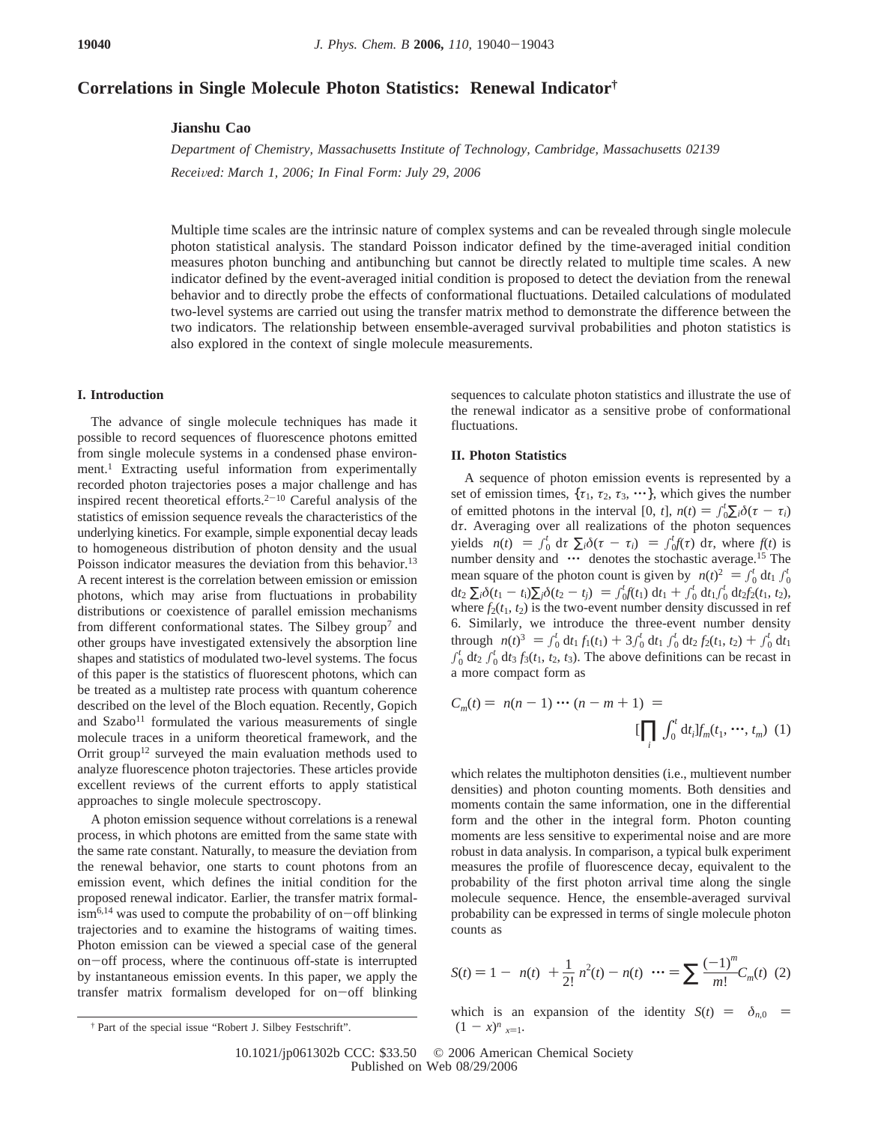# **Correlations in Single Molecule Photon Statistics: Renewal Indicator†**

## **Jianshu Cao**

*Department of Chemistry, Massachusetts Institute of Technology, Cambridge, Massachusetts 02139 Recei*V*ed: March 1, 2006; In Final Form: July 29, 2006*

Multiple time scales are the intrinsic nature of complex systems and can be revealed through single molecule photon statistical analysis. The standard Poisson indicator defined by the time-averaged initial condition measures photon bunching and antibunching but cannot be directly related to multiple time scales. A new indicator defined by the event-averaged initial condition is proposed to detect the deviation from the renewal behavior and to directly probe the effects of conformational fluctuations. Detailed calculations of modulated two-level systems are carried out using the transfer matrix method to demonstrate the difference between the two indicators. The relationship between ensemble-averaged survival probabilities and photon statistics is also explored in the context of single molecule measurements.

### **I. Introduction**

The advance of single molecule techniques has made it possible to record sequences of fluorescence photons emitted from single molecule systems in a condensed phase environment.<sup>1</sup> Extracting useful information from experimentally recorded photon trajectories poses a major challenge and has inspired recent theoretical efforts.<sup>2-10</sup> Careful analysis of the statistics of emission sequence reveals the characteristics of the underlying kinetics. For example, simple exponential decay leads to homogeneous distribution of photon density and the usual Poisson indicator measures the deviation from this behavior.<sup>13</sup> A recent interest is the correlation between emission or emission photons, which may arise from fluctuations in probability distributions or coexistence of parallel emission mechanisms from different conformational states. The Silbey group<sup>7</sup> and other groups have investigated extensively the absorption line shapes and statistics of modulated two-level systems. The focus of this paper is the statistics of fluorescent photons, which can be treated as a multistep rate process with quantum coherence described on the level of the Bloch equation. Recently, Gopich and  $Szabo<sup>11</sup>$  formulated the various measurements of single molecule traces in a uniform theoretical framework, and the Orrit group<sup>12</sup> surveyed the main evaluation methods used to analyze fluorescence photon trajectories. These articles provide excellent reviews of the current efforts to apply statistical approaches to single molecule spectroscopy.

A photon emission sequence without correlations is a renewal process, in which photons are emitted from the same state with the same rate constant. Naturally, to measure the deviation from the renewal behavior, one starts to count photons from an emission event, which defines the initial condition for the proposed renewal indicator. Earlier, the transfer matrix formal- $\lim_{h \to 0}$  ism<sup>6,14</sup> was used to compute the probability of on-off blinking trajectories and to examine the histograms of waiting times. Photon emission can be viewed a special case of the general on-off process, where the continuous off-state is interrupted by instantaneous emission events. In this paper, we apply the transfer matrix formalism developed for on-off blinking sequences to calculate photon statistics and illustrate the use of the renewal indicator as a sensitive probe of conformational fluctuations.

#### **II. Photon Statistics**

A sequence of photon emission events is represented by a set of emission times,  $\{\tau_1, \tau_2, \tau_3, \cdots\}$ , which gives the number of emitted photons in the interval  $[0, t]$ ,  $n(t) = \int_0^t \sum_i \delta(\tau - \tau_i) d\tau$  Averaging over all realizations of the photon sequences d*τ*. Averaging over all realizations of the photon sequences yields  $\langle n(t) \rangle = \int_0^t dt \sum_i \delta(\tau - \tau_i) = \int_0^t f(\tau) d\tau$ , where  $f(t)$  is number density and  $\langle \cdots \rangle$  denotes the stochastic average <sup>15</sup> The number density and  $\langle \cdots \rangle$  denotes the stochastic average.<sup>15</sup> The mean square of the photon count is given by  $\langle n(t)^2 \rangle = \int_0^t dt_1 \int_0^t dt_2$ <br>dt.  $\sum \delta(t_1 - t) \sum \delta(t_2 - t_1) = \int_0^t f(t_1) dt_1 + \int_0^t dt_2 \int_0^t dt_1 f(t_2 - t_1) dt_2$  $\frac{d}{2} \sum_i \delta(t_1 - t_i) \sum_j \delta(t_2 - t_j) = \int_0^t f(t_1) dt_1 + \int_0^t dt_1 \int_0^t dt_2 f_2(t_1, t_2),$ <br>where  $f_2(t_1, t_2)$  is the two-event number density discussed in ref where  $f_2(t_1, t_2)$  is the two-event number density discussed in ref 6. Similarly, we introduce the three-event number density through  $\langle n(t)^3 \rangle = \int_0^t dt_1 f_1(t_1) + 3 \int_0^t dt_1 \int_0^t dt_2 f_2(t_1, t_2) + \int_0^t dt_1$ <br> $\int_0^t dt_2 f_1(t_1, t_2, t_3)$ . The above definitions can be recept in  $\int_0^t dt_2 \int_0^t dt_3 f_3(t_1, t_2, t_3)$ . The above definitions can be recast in a more compact form as

$$
C_m(t) = \langle n(n-1) \cdots (n-m+1) \rangle =
$$
  

$$
\left[ \prod_i \int_0^t dt_i \right] f_m(t_1, \cdots, t_m)
$$
 (1)

which relates the multiphoton densities (i.e., multievent number densities) and photon counting moments. Both densities and moments contain the same information, one in the differential form and the other in the integral form. Photon counting moments are less sensitive to experimental noise and are more robust in data analysis. In comparison, a typical bulk experiment measures the profile of fluorescence decay, equivalent to the probability of the first photon arrival time along the single molecule sequence. Hence, the ensemble-averaged survival probability can be expressed in terms of single molecule photon counts as

$$
S(t) = 1 - \langle n(t) \rangle + \frac{1}{2!} \langle n^2(t) - n(t) \rangle \cdots = \sum \frac{(-1)^m}{m!} C_m(t) \tag{2}
$$

which is an expansion of the identity  $S(t) = \langle \delta_{n,0} \rangle = \langle (1 - x)^n \rangle_{x=1}$ .

<sup>&</sup>lt;sup>†</sup> Part of the special issue "Robert J. Silbey Festschrift".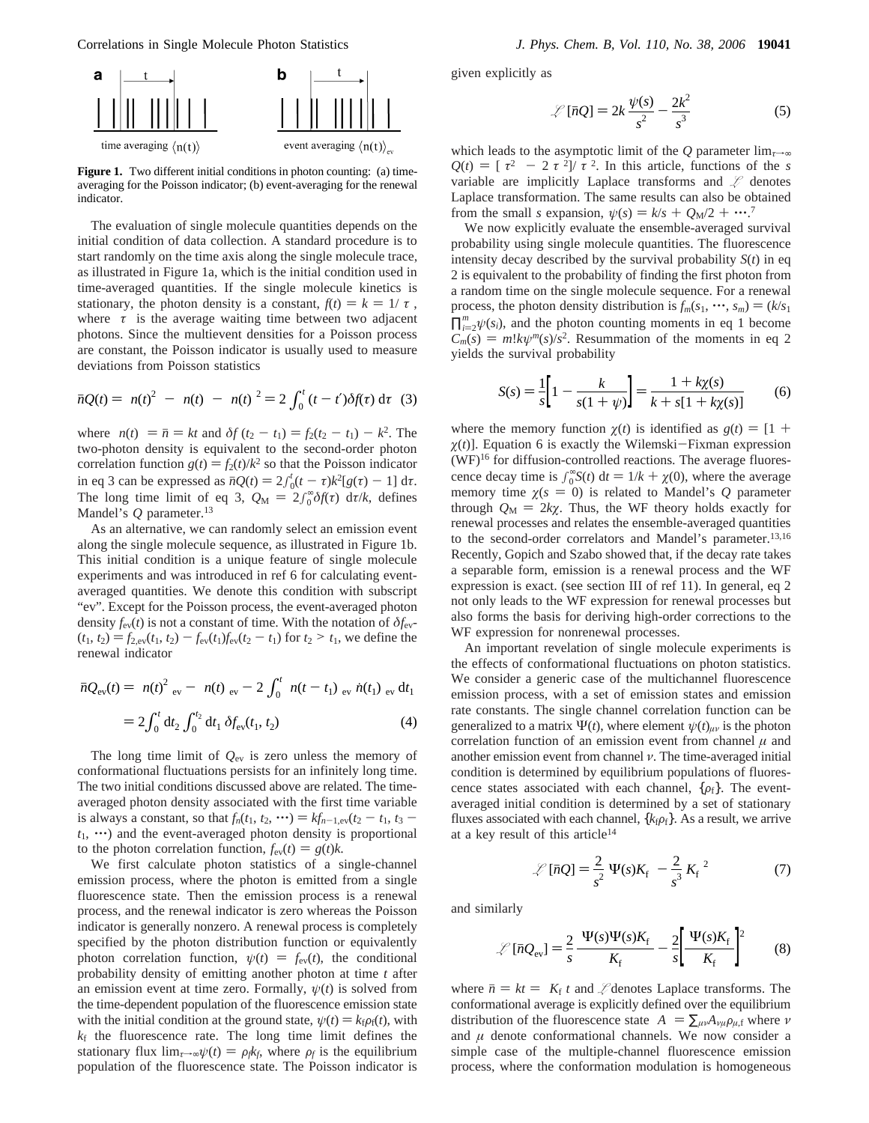Correlations in Single Molecule Photon Statistics *J. Phys. Chem. B, Vol. 110, No. 38, 2006* **19041**



Figure 1. Two different initial conditions in photon counting: (a) timeaveraging for the Poisson indicator; (b) event-averaging for the renewal indicator.

The evaluation of single molecule quantities depends on the initial condition of data collection. A standard procedure is to start randomly on the time axis along the single molecule trace, as illustrated in Figure 1a, which is the initial condition used in time-averaged quantities. If the single molecule kinetics is stationary, the photon density is a constant,  $f(t) = k = 1/\langle \tau \rangle$ , where  $\langle \tau \rangle$  is the average waiting time between two adjacent photons. Since the multievent densities for a Poisson process are constant, the Poisson indicator is usually used to measure deviations from Poisson statistics

$$
\bar{n}Q(t) = \langle n(t)^2 \rangle - \langle n(t) \rangle - \langle n(t) \rangle^2 = 2 \int_0^t (t - t') \delta f(\tau) d\tau
$$
 (3)

where  $\langle n(t) \rangle = \bar{n} = kt$  and  $\delta f(t_2 - t_1) = f_2(t_2 - t_1) - k^2$ . The two-photon density is equivalent to the second-order photon correlation function  $g(t) = f_2(t)/k^2$  so that the Poisson indicator in eq 3 can be expressed as  $\bar{n}Q(t) = 2\int_0^t (t-\tau)k^2[g(\tau)-1] d\tau$ .<br>The long time limit of eq 3,  $Q_1 = 2\int_0^{\infty} \delta f(\tau) d\tau/k$ , defined The long time limit of eq 3,  $Q_M = 2 \int_0^\infty \delta f(\tau) d\tau / k$ , defines Mandel's *O* parameter <sup>13</sup> Mandel's *Q* parameter.<sup>13</sup>

As an alternative, we can randomly select an emission event along the single molecule sequence, as illustrated in Figure 1b. This initial condition is a unique feature of single molecule experiments and was introduced in ref 6 for calculating eventaveraged quantities. We denote this condition with subscript "ev". Except for the Poisson process, the event-averaged photon density  $f_{ev}(t)$  is not a constant of time. With the notation of  $\delta f_{ev}$ - $(t_1, t_2) = f_{2,ev}(t_1, t_2) - f_{ev}(t_1) f_{ev}(t_2 - t_1)$  for  $t_2 > t_1$ , we define the renewal indicator

$$
\bar{n}Q_{\text{ev}}(t) = \langle n(t)^2 \rangle_{\text{ev}} - \langle n(t) \rangle_{\text{ev}} - 2 \int_0^t \langle n(t - t_1) \rangle_{\text{ev}} \langle \dot{n}(t_1) \rangle_{\text{ev}} dt_1
$$

$$
= 2 \int_0^t dt_2 \int_0^{t_2} dt_1 \, \delta f_{\text{ev}}(t_1, t_2) \tag{4}
$$

The long time limit of  $Q_{\text{ev}}$  is zero unless the memory of conformational fluctuations persists for an infinitely long time. The two initial conditions discussed above are related. The timeaveraged photon density associated with the first time variable is always a constant, so that  $f_n(t_1, t_2, \cdots) = kf_{n-1,ev}(t_2 - t_1, t_3 - t_1)$  $t_1$ ,  $\cdots$ ) and the event-averaged photon density is proportional to the photon correlation function,  $f_{ev}(t) = g(t)k$ .

We first calculate photon statistics of a single-channel emission process, where the photon is emitted from a single fluorescence state. Then the emission process is a renewal process, and the renewal indicator is zero whereas the Poisson indicator is generally nonzero. A renewal process is completely specified by the photon distribution function or equivalently photon correlation function,  $\psi(t) = f_{ev}(t)$ , the conditional probability density of emitting another photon at time *t* after an emission event at time zero. Formally,  $\psi(t)$  is solved from the time-dependent population of the fluorescence emission state with the initial condition at the ground state,  $\psi(t) = k_f \rho_f(t)$ , with  $k_f$  the fluorescence rate. The long time limit defines the stationary flux  $\lim_{\tau \to \infty} \psi(t) = \rho_f k_f$ , where  $\rho_f$  is the equilibrium population of the fluorescence state. The Poisson indicator is given explicitly as

$$
\mathcal{L}[\bar{n}Q] = 2k\frac{\psi(s)}{s^2} - \frac{2k^2}{s^3} \tag{5}
$$

which leads to the asymptotic limit of the Q parameter  $\lim_{\tau \to \infty}$  $Q(t) = \frac{\zeta^2}{\zeta^2} - \frac{2\zeta^2}{\zeta^2}$ . In this article, functions of the *s* variable are implicitly Laplace transforms and *L* denotes Laplace transformation. The same results can also be obtained from the small *s* expansion,  $\psi(s) = k/s + Q_M/2 + \cdots$ <sup>7</sup>.<br>We now explicitly evaluate the ensemble-averaged so

We now explicitly evaluate the ensemble-averaged survival probability using single molecule quantities. The fluorescence intensity decay described by the survival probability  $S(t)$  in eq 2 is equivalent to the probability of finding the first photon from a random time on the single molecule sequence. For a renewal process, the photon density distribution is  $f_m(s_1, \dots, s_m) = (k/s_1)$  $\prod_{i=2}^{m} \psi(s_i)$ , and the photon counting moments in eq 1 become<br> $C_1(s) = m! k n! m(s)/s^2$ . Resummation of the moments in eq 2  $C_m(s) = m!k\psi^m(s)/s^2$ . Resummation of the moments in eq 2 yields the survival probability

$$
S(s) = \frac{1}{s} \left[ 1 - \frac{k}{s(1 + \psi)} \right] = \frac{1 + k\chi(s)}{k + s[1 + k\chi(s)]}
$$
(6)

where the memory function  $\chi(t)$  is identified as  $g(t) = [1 +$  $\chi(t)$ ]. Equation 6 is exactly the Wilemski-Fixman expression (WF)16 for diffusion-controlled reactions. The average fluorescence decay time is  $\int_0^\infty S(t) dt = 1/k + \chi(0)$ , where the average memory time  $\gamma(s = 0)$  is related to Mandel's O parameter memory time  $\chi(s = 0)$  is related to Mandel's Q parameter through  $Q_M = 2k\chi$ . Thus, the WF theory holds exactly for renewal processes and relates the ensemble-averaged quantities to the second-order correlators and Mandel's parameter.<sup>13,16</sup> Recently, Gopich and Szabo showed that, if the decay rate takes a separable form, emission is a renewal process and the WF expression is exact. (see section III of ref 11). In general, eq 2 not only leads to the WF expression for renewal processes but also forms the basis for deriving high-order corrections to the WF expression for nonrenewal processes.

An important revelation of single molecule experiments is the effects of conformational fluctuations on photon statistics. We consider a generic case of the multichannel fluorescence emission process, with a set of emission states and emission rate constants. The single channel correlation function can be generalized to a matrix  $\Psi(t)$ , where element  $\psi(t)_{\mu\nu}$  is the photon correlation function of an emission event from channel  $\mu$  and another emission event from channel *ν*. The time-averaged initial condition is determined by equilibrium populations of fluorescence states associated with each channel,  $\{\rho_f\}$ . The eventaveraged initial condition is determined by a set of stationary fluxes associated with each channel,  ${k<sub>f</sub>ρ<sub>f</sub>}$ . As a result, we arrive at a key result of this article<sup>14</sup>

$$
\mathcal{L}[\bar{n}Q] = \frac{2}{s^2} \langle \Psi(s)K_{\rm f} \rangle - \frac{2}{s^3} \langle K_{\rm f} \rangle^2 \tag{7}
$$

and similarly

$$
\mathcal{L}[\bar{n}Q_{\text{ev}}] = \frac{2}{s} \frac{\langle \Psi(s)\Psi(s)K_{\text{f}}\rangle}{\langle K_{\text{f}}\rangle} - \frac{2}{s} \left[ \frac{\langle \Psi(s)K_{\text{f}}\rangle}{\langle K_{\text{f}}\rangle} \right]^2 \tag{8}
$$

where  $\bar{n} = kt = \langle K_f \rangle t$  and  $\mathcal{L}$  denotes Laplace transforms. The conformational average is explicitly defined over the equilibrium distribution of the fluorescence state  $\langle A \rangle = \sum_{\mu\nu} A_{\nu\mu} \rho_{\mu,f}$  where  $\nu$ and  $\mu$  denote conformational channels. We now consider a simple case of the multiple-channel fluorescence emission process, where the conformation modulation is homogeneous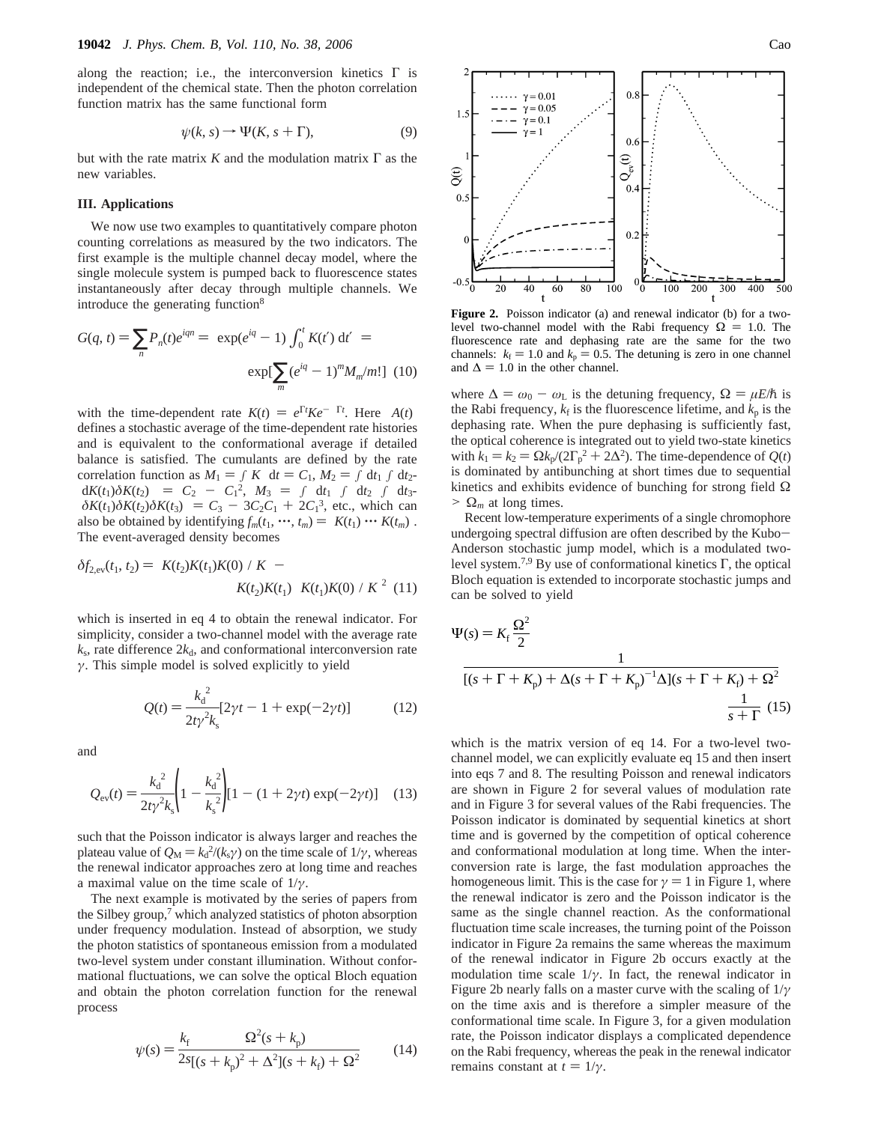along the reaction; i.e., the interconversion kinetics  $\Gamma$  is independent of the chemical state. Then the photon correlation function matrix has the same functional form

$$
\psi(k, s) \to \Psi(K, s + \Gamma), \tag{9}
$$

but with the rate matrix  $K$  and the modulation matrix  $\Gamma$  as the new variables.

### **III. Applications**

We now use two examples to quantitatively compare photon counting correlations as measured by the two indicators. The first example is the multiple channel decay model, where the single molecule system is pumped back to fluorescence states instantaneously after decay through multiple channels. We introduce the generating function<sup>8</sup>

$$
G(q, t) = \sum_{n} P_n(t)e^{iqn} = \langle \exp(e^{iq} - 1) \int_0^t K(t') dt' \rangle =
$$

$$
\exp[\sum_{m} (e^{iq} - 1)^m M_m/m!] \tag{10}
$$

with the time-dependent rate  $K(t) = e^{\Gamma t} K e^{-\Gamma t}$ . Here  $\langle A(t) \rangle$ <br>defines a stochastic average of the time-dependent rate histories defines a stochastic average of the time-dependent rate histories and is equivalent to the conformational average if detailed balance is satisfied. The cumulants are defined by the rate correlation function as  $M_1 = f\langle K \rangle dt = C_1$ ,  $M_2 = f dt_1 f dt_2$  $\langle dK(t_1) \delta K(t_2) \rangle = C_2 - C_1^2$ ,  $M_3 = \int dt_1 \int dt_2 \int dt_3$ <br> $\langle \delta K(t_1) \delta K(t_2) \rangle = C_2 - 3C_2C_1 + 2C_1^3$  etc, which can  $\langle \delta K(t_1) \delta K(t_2) \delta K(t_3) \rangle = C_3 - 3C_2C_1 + 2C_1^3$ , etc., which can also be obtained by identifying  $f(t_1, \dots, t_n) = \langle K(t_1) \dots K(t_n) \rangle$ also be obtained by identifying  $f_m(t_1, \dots, t_m) = \langle K(t_1) \dots K(t_m) \rangle$ . The event-averaged density becomes

$$
\delta f_{2,\text{ev}}(t_1, t_2) = \langle K(t_2)K(t_1)K(0)\rangle/\langle K\rangle - \langle K(t_2)K(t_1)\rangle/\langle K(t_1)K(0)\rangle/\langle K\rangle^2 \tag{11}
$$

which is inserted in eq 4 to obtain the renewal indicator. For simplicity, consider a two-channel model with the average rate  $k_s$ , rate difference  $2k_d$ , and conformational interconversion rate *γ*. This simple model is solved explicitly to yield

$$
Q(t) = \frac{k_d^2}{2t\gamma^2 k_s} [2\gamma t - 1 + \exp(-2\gamma t)]
$$
 (12)

and

$$
Q_{\text{ev}}(t) = \frac{k_{\text{d}}^{2}}{2t\gamma^{2}k_{\text{s}}} \left(1 - \frac{k_{\text{d}}^{2}}{k_{\text{s}}^{2}}\right) [1 - (1 + 2\gamma t) \exp(-2\gamma t)] \quad (13)
$$

such that the Poisson indicator is always larger and reaches the plateau value of  $Q_M = k_d^2/(k_s \gamma)$  on the time scale of  $1/\gamma$ , whereas the renewal indicator approaches zero at long time and reaches the renewal indicator approaches zero at long time and reaches a maximal value on the time scale of 1/*γ*.

The next example is motivated by the series of papers from the Silbey group,<sup>7</sup> which analyzed statistics of photon absorption under frequency modulation. Instead of absorption, we study the photon statistics of spontaneous emission from a modulated two-level system under constant illumination. Without conformational fluctuations, we can solve the optical Bloch equation and obtain the photon correlation function for the renewal process

$$
\psi(s) = \frac{k_{\rm f}}{2s[(s+k_{\rm p})^2 + \Delta^2](s+k_{\rm f}) + \Omega^2}
$$
(14)



**Figure 2.** Poisson indicator (a) and renewal indicator (b) for a twolevel two-channel model with the Rabi frequency  $\Omega = 1.0$ . The fluorescence rate and dephasing rate are the same for the two channels:  $k_f = 1.0$  and  $k_p = 0.5$ . The detuning is zero in one channel and  $\Delta = 1.0$  in the other channel.

where  $\Delta = \omega_0 - \omega_L$  is the detuning frequency,  $\Omega = \mu E/\hbar$  is the Rabi frequency,  $k_f$  is the fluorescence lifetime, and  $k_p$  is the dephasing rate. When the pure dephasing is sufficiently fast, the optical coherence is integrated out to yield two-state kinetics with  $k_1 = k_2 = \Omega k_p / (\Omega \Gamma_p^2 + 2\Delta^2)$ . The time-dependence of  $Q(t)$  is dominated by antibunching at short times due to sequential is dominated by antibunching at short times due to sequential kinetics and exhibits evidence of bunching for strong field  $\Omega$  $> \Omega_m$  at long times.

Recent low-temperature experiments of a single chromophore undergoing spectral diffusion are often described by the Kubo-Anderson stochastic jump model, which is a modulated twolevel system.<sup>7,9</sup> By use of conformational kinetics Γ, the optical Bloch equation is extended to incorporate stochastic jumps and can be solved to yield

$$
\Psi(s) = K_{\rm f} \frac{\Omega^2}{2}
$$

$$
\frac{1}{[(s+\Gamma+K_{\rm p})+\Delta(s+\Gamma+K_{\rm p})^{-1}\Delta](s+\Gamma+K_{\rm f})+\Omega^2}
$$

$$
\frac{1}{s+\Gamma} (15)
$$

which is the matrix version of eq 14. For a two-level twochannel model, we can explicitly evaluate eq 15 and then insert into eqs 7 and 8. The resulting Poisson and renewal indicators are shown in Figure 2 for several values of modulation rate and in Figure 3 for several values of the Rabi frequencies. The Poisson indicator is dominated by sequential kinetics at short time and is governed by the competition of optical coherence and conformational modulation at long time. When the interconversion rate is large, the fast modulation approaches the homogeneous limit. This is the case for  $\gamma = 1$  in Figure 1, where the renewal indicator is zero and the Poisson indicator is the same as the single channel reaction. As the conformational fluctuation time scale increases, the turning point of the Poisson indicator in Figure 2a remains the same whereas the maximum of the renewal indicator in Figure 2b occurs exactly at the modulation time scale  $1/\gamma$ . In fact, the renewal indicator in Figure 2b nearly falls on a master curve with the scaling of 1/*γ* on the time axis and is therefore a simpler measure of the conformational time scale. In Figure 3, for a given modulation rate, the Poisson indicator displays a complicated dependence on the Rabi frequency, whereas the peak in the renewal indicator remains constant at  $t = 1/\gamma$ .